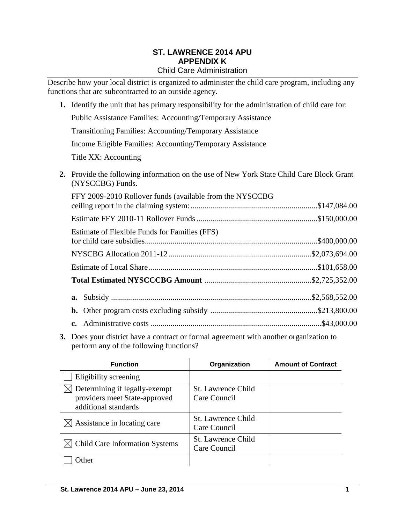#### **ST. LAWRENCE 2014 APU APPENDIX K** Child Care Administration

Describe how your local district is organized to administer the child care program, including any functions that are subcontracted to an outside agency.

- **1.** Identify the unit that has primary responsibility for the administration of child care for: Public Assistance Families: Accounting/Temporary Assistance Transitioning Families: Accounting/Temporary Assistance Income Eligible Families: Accounting/Temporary Assistance Title XX: Accounting **2.** Provide the following information on the use of New York State Child Care Block Grant (NYSCCBG) Funds. FFY 2009-2010 Rollover funds (available from the NYSCCBG ceiling report in the claiming system:................................................................\$147,084.00 Estimate of Flexible Funds for Families (FFS)
- 

| Estimate of Flexible Funds for Families (FFS) |  |
|-----------------------------------------------|--|
|                                               |  |
|                                               |  |
|                                               |  |
|                                               |  |
|                                               |  |
|                                               |  |

**3.** Does your district have a contract or formal agreement with another organization to perform any of the following functions?

| <b>Function</b>                                                                        | Organization                              | <b>Amount of Contract</b> |
|----------------------------------------------------------------------------------------|-------------------------------------------|---------------------------|
| Eligibility screening                                                                  |                                           |                           |
| Determining if legally-exempt<br>providers meet State-approved<br>additional standards | St. Lawrence Child<br>Care Council        |                           |
| Assistance in locating care                                                            | St. Lawrence Child<br>Care Council        |                           |
| <b>Child Care Information Systems</b>                                                  | <b>St. Lawrence Child</b><br>Care Council |                           |
| )ther                                                                                  |                                           |                           |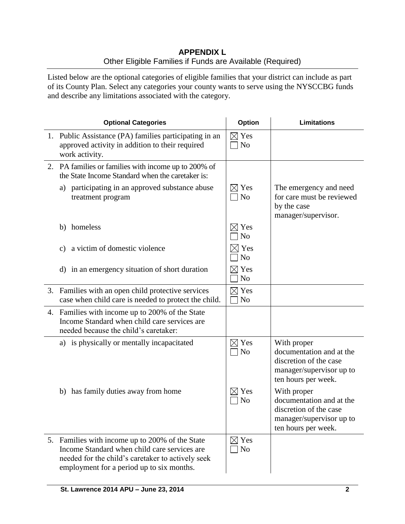# **APPENDIX L** Other Eligible Families if Funds are Available (Required)

Listed below are the optional categories of eligible families that your district can include as part of its County Plan. Select any categories your county wants to serve using the NYSCCBG funds and describe any limitations associated with the category.

| <b>Optional Categories</b>                                                                                                                                                                        | Option                             | <b>Limitations</b>                                                                                                   |
|---------------------------------------------------------------------------------------------------------------------------------------------------------------------------------------------------|------------------------------------|----------------------------------------------------------------------------------------------------------------------|
| 1. Public Assistance (PA) families participating in an<br>approved activity in addition to their required<br>work activity.                                                                       | $\boxtimes$ Yes<br>N <sub>o</sub>  |                                                                                                                      |
| 2. PA families or families with income up to 200% of<br>the State Income Standard when the caretaker is:                                                                                          |                                    |                                                                                                                      |
| a) participating in an approved substance abuse<br>treatment program                                                                                                                              | $\boxtimes$ Yes<br>N <sub>o</sub>  | The emergency and need<br>for care must be reviewed<br>by the case<br>manager/supervisor.                            |
| b) homeless                                                                                                                                                                                       | $\boxtimes$ Yes<br>N <sub>o</sub>  |                                                                                                                      |
| a victim of domestic violence<br>c)                                                                                                                                                               | $\times$ Yes<br>N <sub>o</sub>     |                                                                                                                      |
| d) in an emergency situation of short duration                                                                                                                                                    | $\boxtimes$ Yes<br>N <sub>o</sub>  |                                                                                                                      |
| 3. Families with an open child protective services<br>case when child care is needed to protect the child.                                                                                        | $\boxtimes$ Yes<br>N <sub>o</sub>  |                                                                                                                      |
| 4. Families with income up to 200% of the State<br>Income Standard when child care services are<br>needed because the child's caretaker:                                                          |                                    |                                                                                                                      |
| a) is physically or mentally incapacitated                                                                                                                                                        | Yes<br>$\bowtie$<br>N <sub>o</sub> | With proper<br>documentation and at the<br>discretion of the case<br>manager/supervisor up to<br>ten hours per week. |
| b) has family duties away from home                                                                                                                                                               | $\times$ Yes<br>N <sub>o</sub>     | With proper<br>documentation and at the<br>discretion of the case<br>manager/supervisor up to<br>ten hours per week. |
| 5. Families with income up to 200% of the State<br>Income Standard when child care services are<br>needed for the child's caretaker to actively seek<br>employment for a period up to six months. | $\boxtimes$ Yes<br>N <sub>o</sub>  |                                                                                                                      |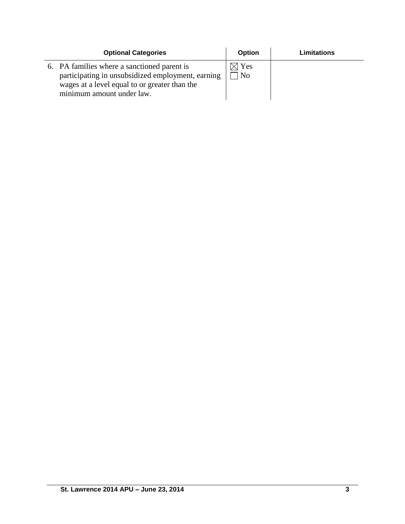| <b>Optional Categories</b>                                                                                                                                                     | <b>Option</b>          | Limitations |
|--------------------------------------------------------------------------------------------------------------------------------------------------------------------------------|------------------------|-------------|
| 6. PA families where a sanctioned parent is<br>participating in unsubsidized employment, earning<br>wages at a level equal to or greater than the<br>minimum amount under law. | $\boxtimes$ Yes<br>No. |             |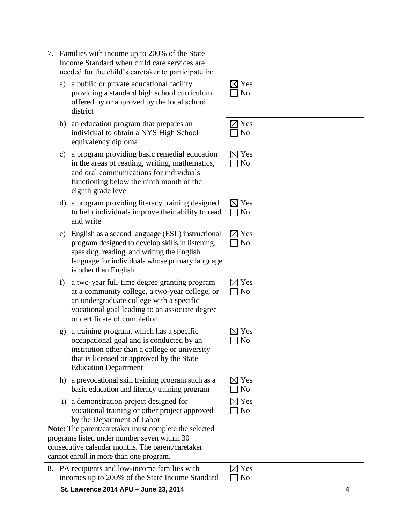- 7. Families with income up to 200% of the State Income Standard when child care services are needed for the child's caretaker to participate in:
	- a) a public or private educational facility providing a standard high school curriculum offered by or approved by the local school district
	- b) an education program that prepares an individual to obtain a NYS High School equivalency diploma
	- c) a program providing basic remedial education in the areas of reading, writing, mathematics, and oral communications for individuals functioning below the ninth month of the eighth grade level
	- d) a program providing literacy training designed to help individuals improve their ability to read and write
	- e) English as a second language (ESL) instructional program designed to develop skills in listening, speaking, reading, and writing the English language for individuals whose primary language is other than English
	- f) a two-year full-time degree granting program at a community college, a two-year college, or an undergraduate college with a specific vocational goal leading to an associate degree or certificate of completion
	- g) a training program, which has a specific occupational goal and is conducted by an institution other than a college or university that is licensed or approved by the State Education Department
	- h) a prevocational skill training program such as a basic education and literacy training program
	- i) a demonstration project designed for vocational training or other project approved by the Department of Labor

**Note:** The parent/caretaker must complete the selected programs listed under number seven within 30 consecutive calendar months. The parent/caretaker cannot enroll in more than one program.

8. PA recipients and low-income families with incomes up to 200% of the State Income Standard

| $\boxtimes$ Yes<br>$\Box$ No      |  |
|-----------------------------------|--|
| $\boxtimes$ Yes<br>$\Box$ No      |  |
| $\boxtimes$ Yes<br>$\Box$ No      |  |
| $\boxtimes$ Yes<br>$\Box$ No      |  |
| $\boxtimes$ Yes<br>$\Box$ No      |  |
| $\boxtimes$ Yes<br>$\Box$ No      |  |
| $\boxtimes$ Yes<br>N <sub>o</sub> |  |
| $\boxtimes$ Yes<br>No             |  |
| $\boxtimes$ Yes<br>N <sub>o</sub> |  |
| $\boxtimes$ Yes<br>$\overline{N}$ |  |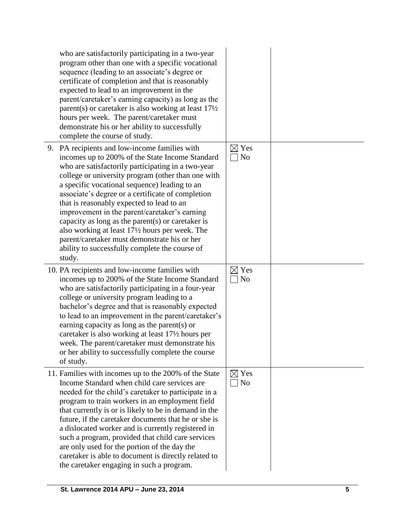| who are satisfactorily participating in a two-year<br>program other than one with a specific vocational<br>sequence (leading to an associate's degree or<br>certificate of completion and that is reasonably<br>expected to lead to an improvement in the<br>parent/caretaker's earning capacity) as long as the<br>parent(s) or caretaker is also working at least $17\frac{1}{2}$<br>hours per week. The parent/caretaker must<br>demonstrate his or her ability to successfully<br>complete the course of study.                                                                                                                   |                                   |  |
|---------------------------------------------------------------------------------------------------------------------------------------------------------------------------------------------------------------------------------------------------------------------------------------------------------------------------------------------------------------------------------------------------------------------------------------------------------------------------------------------------------------------------------------------------------------------------------------------------------------------------------------|-----------------------------------|--|
| 9. PA recipients and low-income families with<br>incomes up to 200% of the State Income Standard<br>who are satisfactorily participating in a two-year<br>college or university program (other than one with<br>a specific vocational sequence) leading to an<br>associate's degree or a certificate of completion<br>that is reasonably expected to lead to an<br>improvement in the parent/caretaker's earning<br>capacity as long as the parent $(s)$ or caretaker is<br>also working at least 17½ hours per week. The<br>parent/caretaker must demonstrate his or her<br>ability to successfully complete the course of<br>study. | $\boxtimes$ Yes<br>N <sub>o</sub> |  |
| 10. PA recipients and low-income families with<br>incomes up to 200% of the State Income Standard<br>who are satisfactorily participating in a four-year<br>college or university program leading to a<br>bachelor's degree and that is reasonably expected<br>to lead to an improvement in the parent/caretaker's<br>earning capacity as long as the parent(s) or<br>caretaker is also working at least 171/2 hours per<br>week. The parent/caretaker must demonstrate his<br>or her ability to successfully complete the course<br>of study.                                                                                        | $\boxtimes$ Yes<br>N <sub>0</sub> |  |
| 11. Families with incomes up to the 200% of the State<br>Income Standard when child care services are<br>needed for the child's caretaker to participate in a<br>program to train workers in an employment field<br>that currently is or is likely to be in demand in the<br>future, if the caretaker documents that he or she is<br>a dislocated worker and is currently registered in<br>such a program, provided that child care services<br>are only used for the portion of the day the<br>caretaker is able to document is directly related to<br>the caretaker engaging in such a program.                                     | $\boxtimes$ Yes<br>No             |  |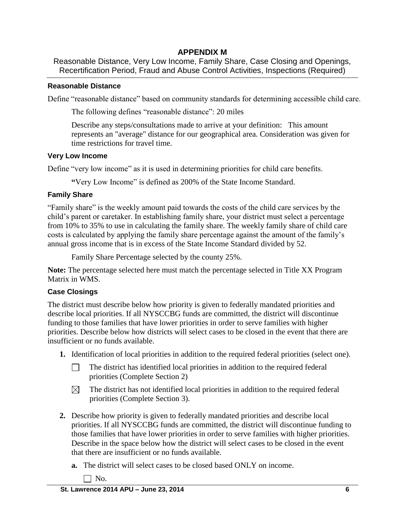# **APPENDIX M**

Reasonable Distance, Very Low Income, Family Share, Case Closing and Openings, Recertification Period, Fraud and Abuse Control Activities, Inspections (Required)

## **Reasonable Distance**

Define "reasonable distance" based on community standards for determining accessible child care.

The following defines "reasonable distance": 20 miles

Describe any steps/consultations made to arrive at your definition: This amount represents an "average" distance for our geographical area. Consideration was given for time restrictions for travel time.

## **Very Low Income**

Define "very low income" as it is used in determining priorities for child care benefits.

**"**Very Low Income" is defined as 200% of the State Income Standard.

## **Family Share**

"Family share" is the weekly amount paid towards the costs of the child care services by the child's parent or caretaker. In establishing family share, your district must select a percentage from 10% to 35% to use in calculating the family share. The weekly family share of child care costs is calculated by applying the family share percentage against the amount of the family's annual gross income that is in excess of the State Income Standard divided by 52.

Family Share Percentage selected by the county 25%.

**Note:** The percentage selected here must match the percentage selected in Title XX Program Matrix in WMS.

## **Case Closings**

The district must describe below how priority is given to federally mandated priorities and describe local priorities. If all NYSCCBG funds are committed, the district will discontinue funding to those families that have lower priorities in order to serve families with higher priorities. Describe below how districts will select cases to be closed in the event that there are insufficient or no funds available.

- **1.** Identification of local priorities in addition to the required federal priorities (select one).
	- The district has identified local priorities in addition to the required federal  $\Box$ priorities (Complete Section 2)
	- The district has not identified local priorities in addition to the required federal  $\boxtimes$ priorities (Complete Section 3).
- **2.** Describe how priority is given to federally mandated priorities and describe local priorities. If all NYSCCBG funds are committed, the district will discontinue funding to those families that have lower priorities in order to serve families with higher priorities. Describe in the space below how the district will select cases to be closed in the event that there are insufficient or no funds available.
	- **a.** The district will select cases to be closed based ONLY on income.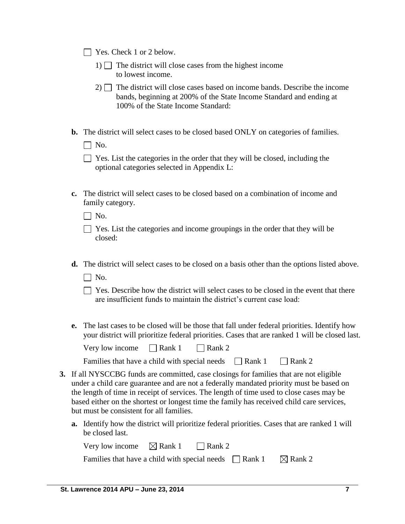|  | $\Box$ Yes. Check 1 or 2 below. |  |
|--|---------------------------------|--|
|  |                                 |  |

- 1)  $\Box$  The district will close cases from the highest income to lowest income.
- $2)$  The district will close cases based on income bands. Describe the income bands, beginning at 200% of the State Income Standard and ending at 100% of the State Income Standard:
- **b.** The district will select cases to be closed based ONLY on categories of families.

 $\Box$  No.

| The Yes. List the categories in the order that they will be closed, including the |  |
|-----------------------------------------------------------------------------------|--|
| optional categories selected in Appendix L:                                       |  |

**c.** The district will select cases to be closed based on a combination of income and family category.

 $\Box$  No.

| $\Box$ Yes. List the categories and income groupings in the order that they will be |  |  |  |
|-------------------------------------------------------------------------------------|--|--|--|
| closed:                                                                             |  |  |  |

- **d.** The district will select cases to be closed on a basis other than the options listed above.
	- $\Box$  No.
	- $\Box$  Yes. Describe how the district will select cases to be closed in the event that there are insufficient funds to maintain the district's current case load:
- **e.** The last cases to be closed will be those that fall under federal priorities. Identify how your district will prioritize federal priorities. Cases that are ranked 1 will be closed last.

| Very low income | $\Box$ Rank 1 | $\Box$ Rank 2 |
|-----------------|---------------|---------------|
|-----------------|---------------|---------------|

| Families that have a child with special needs | $\Box$ Rank 1 | $\Box$ Rank 2 |
|-----------------------------------------------|---------------|---------------|
|-----------------------------------------------|---------------|---------------|

- **3.** If all NYSCCBG funds are committed, case closings for families that are not eligible under a child care guarantee and are not a federally mandated priority must be based on the length of time in receipt of services. The length of time used to close cases may be based either on the shortest or longest time the family has received child care services, but must be consistent for all families.
	- **a.** Identify how the district will prioritize federal priorities. Cases that are ranked 1 will be closed last.

| Very low income $\boxtimes$ Rank 1                          | $\Box$ Rank 2 |                    |
|-------------------------------------------------------------|---------------|--------------------|
| Families that have a child with special needs $\Box$ Rank 1 |               | $\boxtimes$ Rank 2 |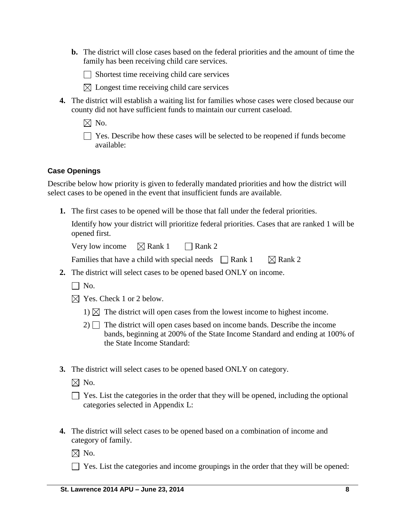**b.** The district will close cases based on the federal priorities and the amount of time the family has been receiving child care services.

 $\Box$  Shortest time receiving child care services

- $\boxtimes$  Longest time receiving child care services
- **4.** The district will establish a waiting list for families whose cases were closed because our county did not have sufficient funds to maintain our current caseload.
	- $\boxtimes$  No.

 $\Box$  Yes. Describe how these cases will be selected to be reopened if funds become available:

## **Case Openings**

Describe below how priority is given to federally mandated priorities and how the district will select cases to be opened in the event that insufficient funds are available.

**1.** The first cases to be opened will be those that fall under the federal priorities.

Identify how your district will prioritize federal priorities. Cases that are ranked 1 will be opened first.

Very low income  $\Box$  Rank 1  $\Box$  Rank 2

| Families that have a child with special needs $\Box$ Rank 1 |  | $\boxtimes$ Rank 2 |
|-------------------------------------------------------------|--|--------------------|
|-------------------------------------------------------------|--|--------------------|

- **2.** The district will select cases to be opened based ONLY on income.
	- $\Box$  No.
	- $\boxtimes$  Yes. Check 1 or 2 below.
		- 1)  $\boxtimes$  The district will open cases from the lowest income to highest income.
		- $2)$  The district will open cases based on income bands. Describe the income bands, beginning at 200% of the State Income Standard and ending at 100% of the State Income Standard:
- **3.** The district will select cases to be opened based ONLY on category.
	- $\boxtimes$  No.

**4.** The district will select cases to be opened based on a combination of income and category of family.

 $\boxtimes$  No.

 $\Box$  Yes. List the categories and income groupings in the order that they will be opened:

 $\Box$  Yes. List the categories in the order that they will be opened, including the optional categories selected in Appendix L: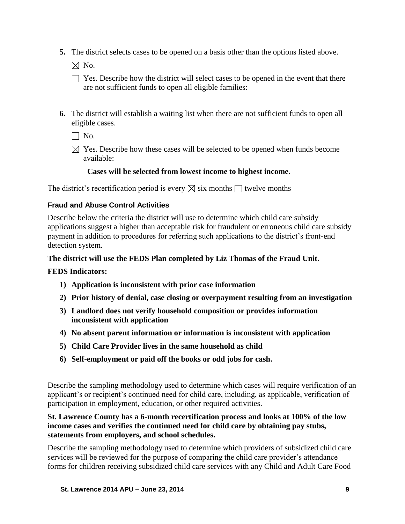**5.** The district selects cases to be opened on a basis other than the options listed above.

 $\boxtimes$  No.

- $\Box$  Yes. Describe how the district will select cases to be opened in the event that there are not sufficient funds to open all eligible families:
- **6.** The district will establish a waiting list when there are not sufficient funds to open all eligible cases.

 $\Box$  No.

 $\boxtimes$  Yes. Describe how these cases will be selected to be opened when funds become available:

# **Cases will be selected from lowest income to highest income.**

The district's recertification period is every  $\boxtimes$  six months  $\Box$  twelve months

# **Fraud and Abuse Control Activities**

Describe below the criteria the district will use to determine which child care subsidy applications suggest a higher than acceptable risk for fraudulent or erroneous child care subsidy payment in addition to procedures for referring such applications to the district's front-end detection system.

## **The district will use the FEDS Plan completed by Liz Thomas of the Fraud Unit.**

## **FEDS Indicators:**

- **1) Application is inconsistent with prior case information**
- **2) Prior history of denial, case closing or overpayment resulting from an investigation**
- **3) Landlord does not verify household composition or provides information inconsistent with application**
- **4) No absent parent information or information is inconsistent with application**
- **5) Child Care Provider lives in the same household as child**
- **6) Self-employment or paid off the books or odd jobs for cash.**

Describe the sampling methodology used to determine which cases will require verification of an applicant's or recipient's continued need for child care, including, as applicable, verification of participation in employment, education, or other required activities.

## **St. Lawrence County has a 6-month recertification process and looks at 100% of the low income cases and verifies the continued need for child care by obtaining pay stubs, statements from employers, and school schedules.**

Describe the sampling methodology used to determine which providers of subsidized child care services will be reviewed for the purpose of comparing the child care provider's attendance forms for children receiving subsidized child care services with any Child and Adult Care Food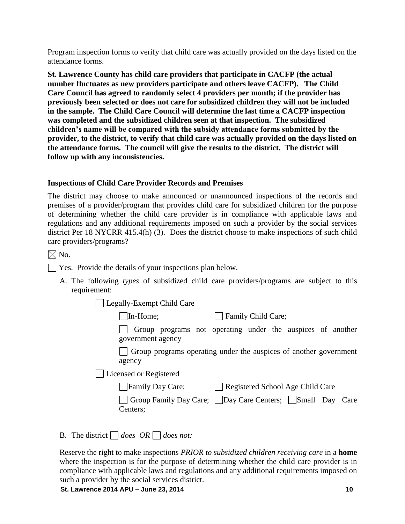Program inspection forms to verify that child care was actually provided on the days listed on the attendance forms.

**St. Lawrence County has child care providers that participate in CACFP (the actual number fluctuates as new providers participate and others leave CACFP). The Child Care Council has agreed to randomly select 4 providers per month; if the provider has previously been selected or does not care for subsidized children they will not be included in the sample. The Child Care Council will determine the last time a CACFP inspection was completed and the subsidized children seen at that inspection. The subsidized children's name will be compared with the subsidy attendance forms submitted by the provider, to the district, to verify that child care was actually provided on the days listed on the attendance forms. The council will give the results to the district. The district will follow up with any inconsistencies.**

## **Inspections of Child Care Provider Records and Premises**

The district may choose to make announced or unannounced inspections of the records and premises of a provider/program that provides child care for subsidized children for the purpose of determining whether the child care provider is in compliance with applicable laws and regulations and any additional requirements imposed on such a provider by the social services district Per 18 NYCRR 415.4(h) (3). Does the district choose to make inspections of such child care providers/programs?

 $\times$  No.

Yes. Provide the details of your inspections plan below.

A. The following *types* of subsidized child care providers/programs are subject to this requirement:

Legally-Exempt Child Care

In-Home; Family Child Care;

Group programs not operating under the auspices of another government agency

Group programs operating under the auspices of another government agency

Licensed or Registered

| Group Family Day Care; Day Care Centers; Small Day Care |  |  |
|---------------------------------------------------------|--|--|
| Centers;                                                |  |  |

B. The district  $\Box$  does  $\overline{OR} \Box$  does not:

Reserve the right to make inspections *PRIOR to subsidized children receiving care* in a **home** where the inspection is for the purpose of determining whether the child care provider is in compliance with applicable laws and regulations and any additional requirements imposed on such a provider by the social services district.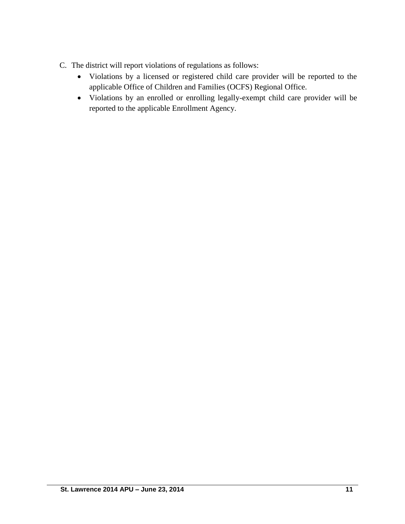- C. The district will report violations of regulations as follows:
	- Violations by a licensed or registered child care provider will be reported to the applicable Office of Children and Families (OCFS) Regional Office.
	- Violations by an enrolled or enrolling legally-exempt child care provider will be reported to the applicable Enrollment Agency.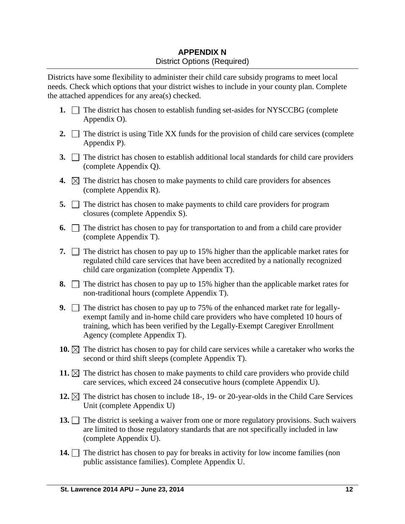# **APPENDIX N** District Options (Required)

Districts have some flexibility to administer their child care subsidy programs to meet local needs. Check which options that your district wishes to include in your county plan. Complete the attached appendices for any area(s) checked.

- **1.**  $\Box$  The district has chosen to establish funding set-asides for NYSCCBG (complete Appendix O).
- **2.**  $\Box$  The district is using Title XX funds for the provision of child care services (complete Appendix P).
- **3.** The district has chosen to establish additional local standards for child care providers (complete Appendix Q).
- **4.**  $\boxtimes$  The district has chosen to make payments to child care providers for absences (complete Appendix R).
- **5.** The district has chosen to make payments to child care providers for program closures (complete Appendix S).
- **6.**  $\Box$  The district has chosen to pay for transportation to and from a child care provider (complete Appendix T).
- **7.**  $\Box$  The district has chosen to pay up to 15% higher than the applicable market rates for regulated child care services that have been accredited by a nationally recognized child care organization (complete Appendix T).
- **8.**  $\Box$  The district has chosen to pay up to 15% higher than the applicable market rates for non-traditional hours (complete Appendix T).
- **9.** The district has chosen to pay up to 75% of the enhanced market rate for legallyexempt family and in-home child care providers who have completed 10 hours of training, which has been verified by the Legally-Exempt Caregiver Enrollment Agency (complete Appendix T).
- **10.**  $\boxtimes$  The district has chosen to pay for child care services while a caretaker who works the second or third shift sleeps (complete Appendix T).
- **11.**  $\boxtimes$  The district has chosen to make payments to child care providers who provide child care services, which exceed 24 consecutive hours (complete Appendix U).
- **12.**  $\boxtimes$  The district has chosen to include 18-, 19- or 20-year-olds in the Child Care Services Unit (complete Appendix U)
- 13. The district is seeking a waiver from one or more regulatory provisions. Such waivers are limited to those regulatory standards that are not specifically included in law (complete Appendix U).
- **14.** The district has chosen to pay for breaks in activity for low income families (non public assistance families). Complete Appendix U.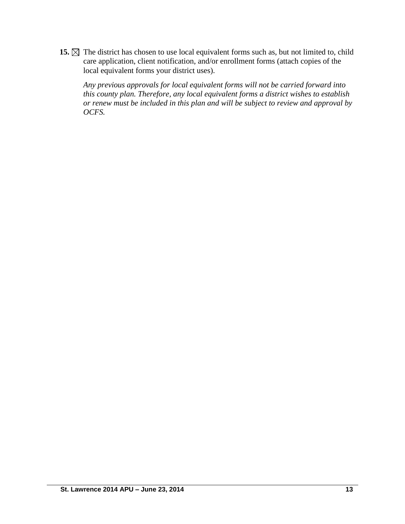15.  $\boxtimes$  The district has chosen to use local equivalent forms such as, but not limited to, child care application, client notification, and/or enrollment forms (attach copies of the local equivalent forms your district uses).

*Any previous approvals for local equivalent forms will not be carried forward into this county plan. Therefore, any local equivalent forms a district wishes to establish or renew must be included in this plan and will be subject to review and approval by OCFS.*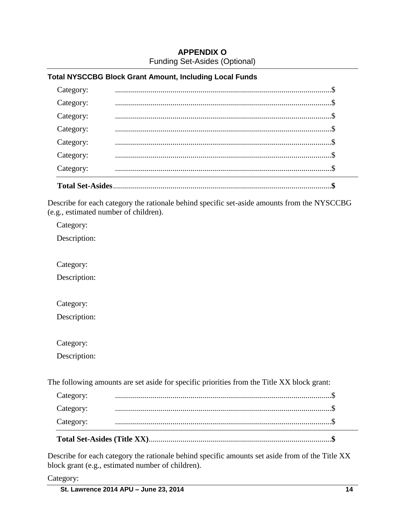# **APPENDIX O** Funding Set-Asides (Optional)

## **Total NYSCCBG Block Grant Amount, Including Local Funds**

| <b>Total Set-Asides</b> |  |
|-------------------------|--|
| Category:               |  |
| Category:               |  |
| Category:               |  |
| Category:               |  |
| Category:               |  |
| Category:               |  |
| Category:               |  |
|                         |  |

Describe for each category the rationale behind specific set-aside amounts from the NYSCCBG (e.g., estimated number of children).

Category:

Description:

Category:

Description:

Category:

Description:

Category:

Description:

The following amounts are set aside for specific priorities from the Title XX block grant:

| Category: |  |
|-----------|--|
| Category: |  |
| Category: |  |

Describe for each category the rationale behind specific amounts set aside from of the Title XX block grant (e.g., estimated number of children).

Category: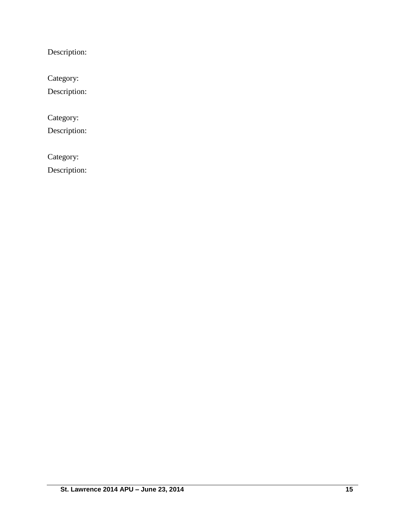Description:

Category:

Description:

Category:

Description:

Category:

Description: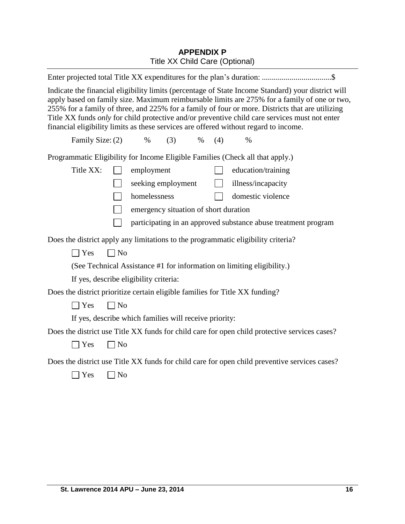# **APPENDIX P** Title XX Child Care (Optional)

| Indicate the financial eligibility limits (percentage of State Income Standard) your district will<br>apply based on family size. Maximum reimbursable limits are 275% for a family of one or two,<br>255% for a family of three, and 225% for a family of four or more. Districts that are utilizing<br>Title XX funds only for child protective and/or preventive child care services must not enter<br>financial eligibility limits as these services are offered without regard to income. |  |  |  |
|------------------------------------------------------------------------------------------------------------------------------------------------------------------------------------------------------------------------------------------------------------------------------------------------------------------------------------------------------------------------------------------------------------------------------------------------------------------------------------------------|--|--|--|
| Family Size: (2)<br>$\%$<br>(3)<br>$\%$<br>(4)<br>$\%$                                                                                                                                                                                                                                                                                                                                                                                                                                         |  |  |  |
| Programmatic Eligibility for Income Eligible Families (Check all that apply.)                                                                                                                                                                                                                                                                                                                                                                                                                  |  |  |  |
| Title XX:<br>employment<br>education/training                                                                                                                                                                                                                                                                                                                                                                                                                                                  |  |  |  |
| seeking employment<br>illness/incapacity                                                                                                                                                                                                                                                                                                                                                                                                                                                       |  |  |  |
| homelessness<br>domestic violence                                                                                                                                                                                                                                                                                                                                                                                                                                                              |  |  |  |
| emergency situation of short duration                                                                                                                                                                                                                                                                                                                                                                                                                                                          |  |  |  |
| participating in an approved substance abuse treatment program                                                                                                                                                                                                                                                                                                                                                                                                                                 |  |  |  |
| Does the district apply any limitations to the programmatic eligibility criteria?                                                                                                                                                                                                                                                                                                                                                                                                              |  |  |  |
| $\exists$ Yes<br>$\Box$ No                                                                                                                                                                                                                                                                                                                                                                                                                                                                     |  |  |  |
| (See Technical Assistance #1 for information on limiting eligibility.)                                                                                                                                                                                                                                                                                                                                                                                                                         |  |  |  |
| If yes, describe eligibility criteria:                                                                                                                                                                                                                                                                                                                                                                                                                                                         |  |  |  |
| Does the district prioritize certain eligible families for Title XX funding?                                                                                                                                                                                                                                                                                                                                                                                                                   |  |  |  |
| Yes<br>$\Box$ No                                                                                                                                                                                                                                                                                                                                                                                                                                                                               |  |  |  |
| If yes, describe which families will receive priority:                                                                                                                                                                                                                                                                                                                                                                                                                                         |  |  |  |
| Does the district use Title XX funds for child care for open child protective services cases?                                                                                                                                                                                                                                                                                                                                                                                                  |  |  |  |
| $\exists$ Yes<br>$\Box$ No                                                                                                                                                                                                                                                                                                                                                                                                                                                                     |  |  |  |
| Does the district use Title XX funds for child care for open child preventive services cases?                                                                                                                                                                                                                                                                                                                                                                                                  |  |  |  |
| Yes<br>N <sub>o</sub>                                                                                                                                                                                                                                                                                                                                                                                                                                                                          |  |  |  |
|                                                                                                                                                                                                                                                                                                                                                                                                                                                                                                |  |  |  |
|                                                                                                                                                                                                                                                                                                                                                                                                                                                                                                |  |  |  |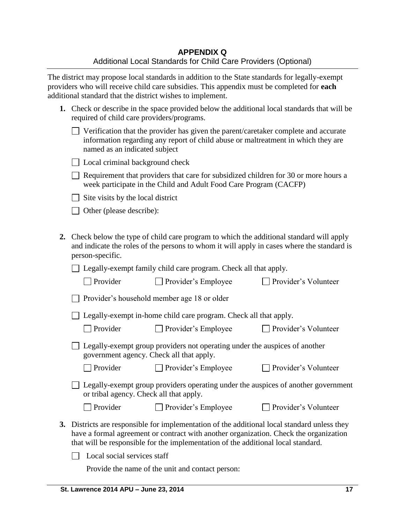The district may propose local standards in addition to the State standards for legally-exempt providers who will receive child care subsidies. This appendix must be completed for **each** additional standard that the district wishes to implement.

| 1. Check or describe in the space provided below the additional local standards that will be |
|----------------------------------------------------------------------------------------------|
| required of child care providers/programs.                                                   |

| $\Box$ Verification that the provider has given the parent/caretaker complete and accurate |
|--------------------------------------------------------------------------------------------|
| information regarding any report of child abuse or maltreatment in which they are          |
| named as an indicated subject                                                              |

| □ Local criminal background check |  |
|-----------------------------------|--|
|-----------------------------------|--|

 $\Box$  Requirement that providers that care for subsidized children for 30 or more hours a week participate in the Child and Adult Food Care Program (CACFP)

 $\Box$  Site visits by the local district

□ Other (please describe):

**2.** Check below the type of child care program to which the additional standard will apply and indicate the roles of the persons to whom it will apply in cases where the standard is person-specific.

□ Legally-exempt family child care program. Check all that apply.

| $\Box$ Provider | $\Box$ Provider's Employee | □ Provider's Volunteer |
|-----------------|----------------------------|------------------------|
|-----------------|----------------------------|------------------------|

Provider's household member age 18 or older

 $\Box$  Legally-exempt in-home child care program. Check all that apply.

□ Provider □ Provider's Employee □ Provider's Volunteer

 $\Box$  Provider's Volunteer

| $\Box$ Legally-exempt group providers not operating under the auspices of another |  |
|-----------------------------------------------------------------------------------|--|
| government agency. Check all that apply.                                          |  |

□ Provider Provider's Employee Provider's Volunteer

Legally-exempt group providers operating under the auspices of another government or tribal agency. Check all that apply.

**3.** Districts are responsible for implementation of the additional local standard unless they have a formal agreement or contract with another organization. Check the organization

that will be responsible for the implementation of the additional local standard.

 $\Box$  Local social services staff

Provide the name of the unit and contact person: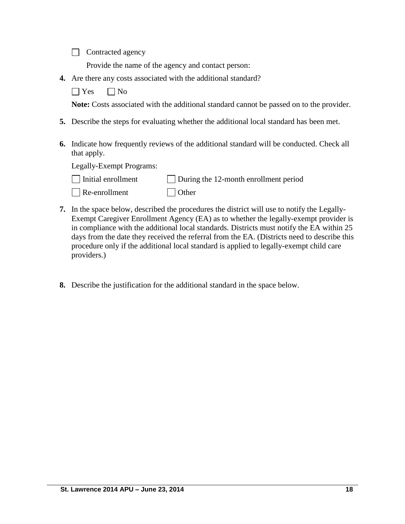Contracted agency

Provide the name of the agency and contact person:

**4.** Are there any costs associated with the additional standard?

 $\Box$  Yes  $\Box$  No

**Note:** Costs associated with the additional standard cannot be passed on to the provider.

- **5.** Describe the steps for evaluating whether the additional local standard has been met.
- **6.** Indicate how frequently reviews of the additional standard will be conducted. Check all that apply.

Legally-Exempt Programs:

| $\Box$ Initial enrollment | $\Box$ During the 12-month enrollment period |
|---------------------------|----------------------------------------------|
| $\Box$ Re-enrollment      | $\Box$ Other                                 |

- **7.** In the space below, described the procedures the district will use to notify the Legally-Exempt Caregiver Enrollment Agency (EA) as to whether the legally-exempt provider is in compliance with the additional local standards. Districts must notify the EA within 25 days from the date they received the referral from the EA. (Districts need to describe this procedure only if the additional local standard is applied to legally-exempt child care providers.)
- **8.** Describe the justification for the additional standard in the space below.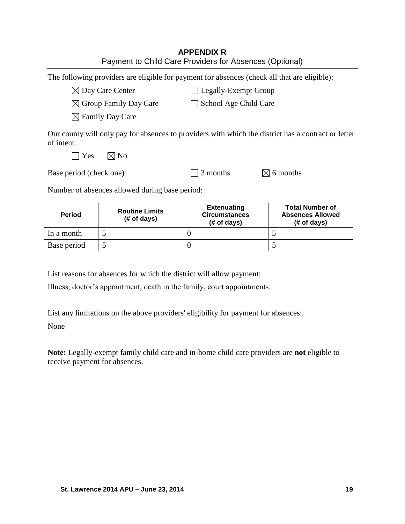| <b>APPENDIX R</b><br>Payment to Child Care Providers for Absences (Optional) |                                                                                              |                                                           |                                                                                                     |  |  |
|------------------------------------------------------------------------------|----------------------------------------------------------------------------------------------|-----------------------------------------------------------|-----------------------------------------------------------------------------------------------------|--|--|
|                                                                              | The following providers are eligible for payment for absences (check all that are eligible): |                                                           |                                                                                                     |  |  |
|                                                                              | $\boxtimes$ Day Care Center                                                                  | <b>Legally-Exempt Group</b>                               |                                                                                                     |  |  |
|                                                                              | $\boxtimes$ Group Family Day Care                                                            | School Age Child Care                                     |                                                                                                     |  |  |
|                                                                              | $\boxtimes$ Family Day Care                                                                  |                                                           |                                                                                                     |  |  |
| of intent.<br>Yes                                                            | $\boxtimes$ No                                                                               |                                                           | Our county will only pay for absences to providers with which the district has a contract or letter |  |  |
| Base period (check one)                                                      |                                                                                              | $\boxtimes$ 6 months<br>3 months                          |                                                                                                     |  |  |
| Number of absences allowed during base period:                               |                                                                                              |                                                           |                                                                                                     |  |  |
| <b>Period</b>                                                                | <b>Routine Limits</b><br>(# of days)                                                         | <b>Extenuating</b><br><b>Circumstances</b><br>(# of days) | <b>Total Number of</b><br><b>Absences Allowed</b><br>(# of days)                                    |  |  |
| In a month                                                                   | 5                                                                                            | $\theta$                                                  | 5                                                                                                   |  |  |
| Base period                                                                  | 5                                                                                            | $\boldsymbol{0}$                                          | 5                                                                                                   |  |  |

List reasons for absences for which the district will allow payment:

Illness, doctor's appointment, death in the family, court appointments.

List any limitations on the above providers' eligibility for payment for absences: None

**Note:** Legally-exempt family child care and in-home child care providers are **not** eligible to receive payment for absences.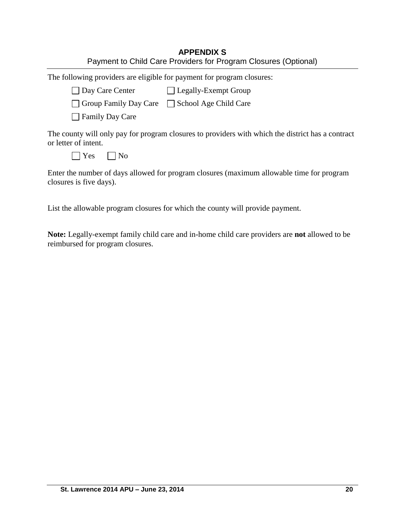| <b>APPENDIX S</b>                                               |  |  |  |
|-----------------------------------------------------------------|--|--|--|
| Payment to Child Care Providers for Program Closures (Optional) |  |  |  |

| The following providers are eligible for payment for program closures:                                                                             |  |  |  |
|----------------------------------------------------------------------------------------------------------------------------------------------------|--|--|--|
| Day Care Center [ Legally-Exempt Group                                                                                                             |  |  |  |
| □ Group Family Day Care □ School Age Child Care                                                                                                    |  |  |  |
| $\Box$ Family Day Care                                                                                                                             |  |  |  |
| The county will only pay for program closures to providers with which the district has a contract<br>or letter of intent.<br>Yes<br>N <sub>0</sub> |  |  |  |
|                                                                                                                                                    |  |  |  |

Enter the number of days allowed for program closures (maximum allowable time for program closures is five days).

List the allowable program closures for which the county will provide payment.

**Note:** Legally-exempt family child care and in-home child care providers are **not** allowed to be reimbursed for program closures.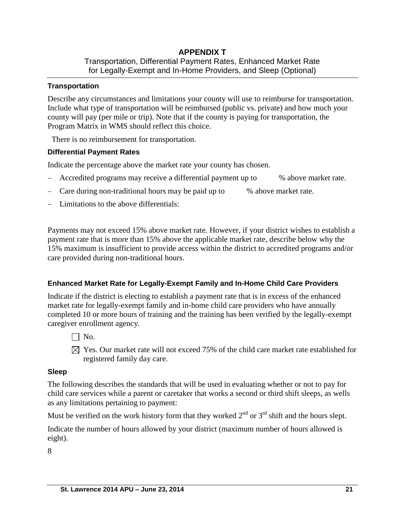## **APPENDIX T**  Transportation, Differential Payment Rates, Enhanced Market Rate for Legally-Exempt and In-Home Providers, and Sleep (Optional)

## **Transportation**

Describe any circumstances and limitations your county will use to reimburse for transportation. Include what type of transportation will be reimbursed (public vs. private) and how much your county will pay (per mile or trip). Note that if the county is paying for transportation, the Program Matrix in WMS should reflect this choice.

There is no reimbursement for transportation.

## **Differential Payment Rates**

Indicate the percentage above the market rate your county has chosen.

- Accredited programs may receive a differential payment up to % above market rate.
- Care during non-traditional hours may be paid up to % above market rate.
- Limitations to the above differentials:

Payments may not exceed 15% above market rate. However, if your district wishes to establish a payment rate that is more than 15% above the applicable market rate, describe below why the 15% maximum is insufficient to provide access within the district to accredited programs and/or care provided during non-traditional hours.

## **Enhanced Market Rate for Legally-Exempt Family and In-Home Child Care Providers**

Indicate if the district is electing to establish a payment rate that is in excess of the enhanced market rate for legally-exempt family and in-home child care providers who have annually completed 10 or more hours of training and the training has been verified by the legally-exempt caregiver enrollment agency.

- $\Box$  No.
- $\boxtimes$  Yes. Our market rate will not exceed 75% of the child care market rate established for registered family day care.

#### **Sleep**

The following describes the standards that will be used in evaluating whether or not to pay for child care services while a parent or caretaker that works a second or third shift sleeps, as wells as any limitations pertaining to payment:

Must be verified on the work history form that they worked  $2<sup>nd</sup>$  or  $3<sup>rd</sup>$  shift and the hours slept.

Indicate the number of hours allowed by your district (maximum number of hours allowed is eight).

8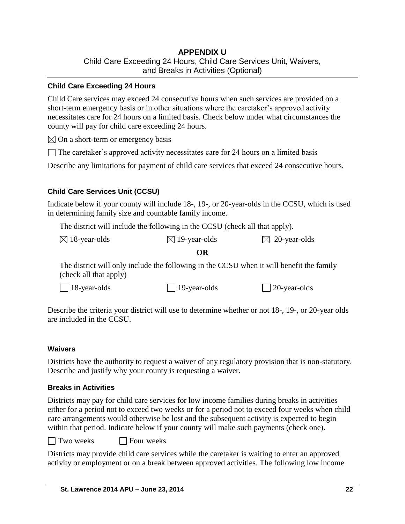# **APPENDIX U** Child Care Exceeding 24 Hours, Child Care Services Unit, Waivers, and Breaks in Activities (Optional)

#### **Child Care Exceeding 24 Hours**

Child Care services may exceed 24 consecutive hours when such services are provided on a short-term emergency basis or in other situations where the caretaker's approved activity necessitates care for 24 hours on a limited basis. Check below under what circumstances the county will pay for child care exceeding 24 hours.

 $\boxtimes$  On a short-term or emergency basis

 $\Box$  The caretaker's approved activity necessitates care for 24 hours on a limited basis

Describe any limitations for payment of child care services that exceed 24 consecutive hours.

## **Child Care Services Unit (CCSU)**

Indicate below if your county will include 18-, 19-, or 20-year-olds in the CCSU, which is used in determining family size and countable family income.

The district will include the following in the CCSU (check all that apply).

| $\boxtimes$ 18-year-olds | $\boxtimes$ 19-year-olds | $\boxtimes$ 20-year-olds |
|--------------------------|--------------------------|--------------------------|
|--------------------------|--------------------------|--------------------------|

#### **OR**

The district will only include the following in the CCSU when it will benefit the family (check all that apply)

18-year-olds 19-year-olds 20-year-olds

Describe the criteria your district will use to determine whether or not 18-, 19-, or 20-year olds are included in the CCSU.

#### **Waivers**

Districts have the authority to request a waiver of any regulatory provision that is non-statutory. Describe and justify why your county is requesting a waiver.

#### **Breaks in Activities**

Districts may pay for child care services for low income families during breaks in activities either for a period not to exceed two weeks or for a period not to exceed four weeks when child care arrangements would otherwise be lost and the subsequent activity is expected to begin within that period. Indicate below if your county will make such payments (check one).

 $\Box$  Two weeks  $\Box$  Four weeks

Districts may provide child care services while the caretaker is waiting to enter an approved activity or employment or on a break between approved activities. The following low income